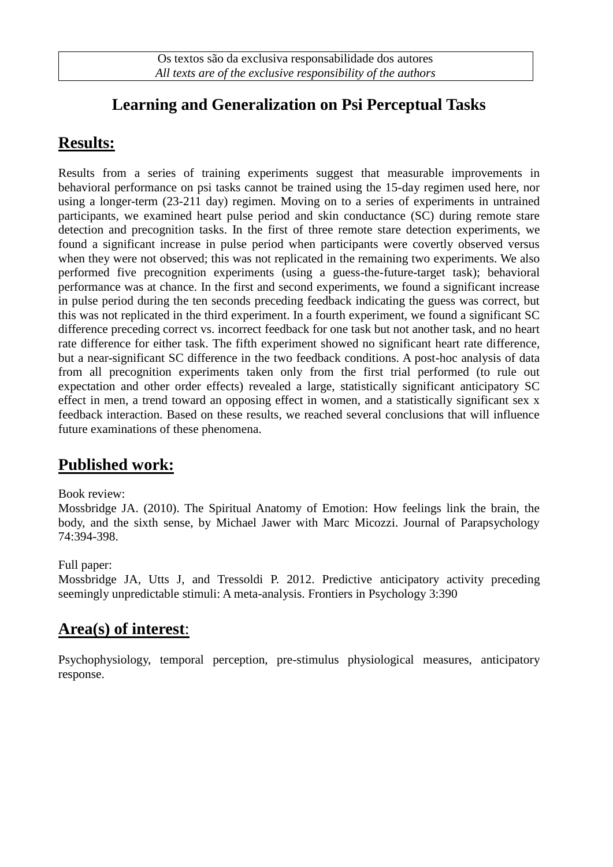## **Learning and Generalization on Psi Perceptual Tasks**

### **Results:**

Results from a series of training experiments suggest that measurable improvements in behavioral performance on psi tasks cannot be trained using the 15-day regimen used here, nor using a longer-term (23-211 day) regimen. Moving on to a series of experiments in untrained participants, we examined heart pulse period and skin conductance (SC) during remote stare detection and precognition tasks. In the first of three remote stare detection experiments, we found a significant increase in pulse period when participants were covertly observed versus when they were not observed; this was not replicated in the remaining two experiments. We also performed five precognition experiments (using a guess-the-future-target task); behavioral performance was at chance. In the first and second experiments, we found a significant increase in pulse period during the ten seconds preceding feedback indicating the guess was correct, but this was not replicated in the third experiment. In a fourth experiment, we found a significant SC difference preceding correct vs. incorrect feedback for one task but not another task, and no heart rate difference for either task. The fifth experiment showed no significant heart rate difference, but a near-significant SC difference in the two feedback conditions. A post-hoc analysis of data from all precognition experiments taken only from the first trial performed (to rule out expectation and other order effects) revealed a large, statistically significant anticipatory SC effect in men, a trend toward an opposing effect in women, and a statistically significant sex x feedback interaction. Based on these results, we reached several conclusions that will influence future examinations of these phenomena.

### **Published work:**

#### Book review:

Mossbridge JA. (2010). The Spiritual Anatomy of Emotion: How feelings link the brain, the body, and the sixth sense, by Michael Jawer with Marc Micozzi. Journal of Parapsychology 74:394-398.

#### Full paper:

Mossbridge JA, Utts J, and Tressoldi P. 2012. Predictive anticipatory activity preceding seemingly unpredictable stimuli: A meta-analysis. Frontiers in Psychology 3:390

### **Area(s) of interest**:

Psychophysiology, temporal perception, pre-stimulus physiological measures, anticipatory response.